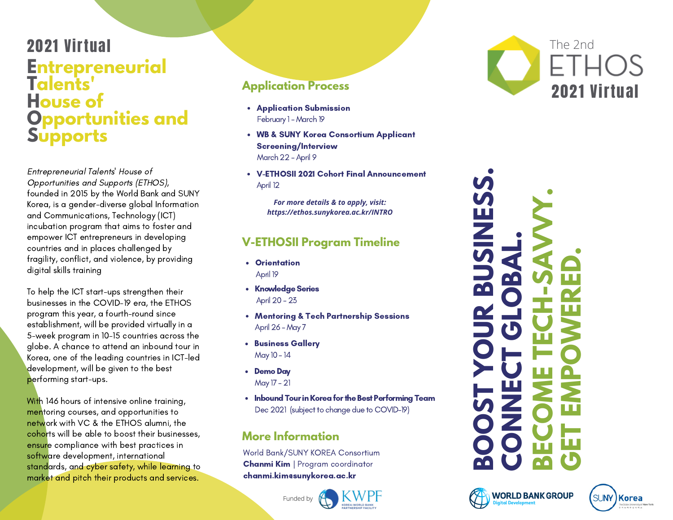### **Entrepreneurial Talents' House of Opportunities and Supports** 2021 Virtual

Entrepreneurial Talents' House of Opportunities and Supports (ETHOS), founded in 2015 by the World Bank and SUNY Korea, is a gender-diverse global Information and Communications, Technology (ICT) incubation program that aims to foster and empower ICT entrepreneurs in developing countries and in places challenged by fragility, conflict, and violence, by providing digital skills training

To help the ICT start-ups strengthen their businesses in the COVID-19 era, the ETHOS program this year, a fourth-round since establishment, will be provided virtually in a 5-week program in 10-15 countries across the globe. A chance to attend an inbound tour in Korea, one of the leading countries in ICT-led development, will be given to the best performing start-ups.

With 146 hours of intensive online training, mentoring courses, and opportunities to network with VC & the ETHOS alumni, the cohorts will be able to boost their businesses, ensure compliance with best practices in software development, international standards, and cyber safety, while learning to market and pitch their products and services.

#### **Application Process**

- Application Submission February 1 - March 19
- WB & SUNY Korea Consortium Applicant Screening/Interview March 22 - April 9
- V-ETHOSII 2021 Cohort Final Announcement April 12

*For more details & to apply, visit: https://ethos.sunykorea.ac.kr/INTRO*

#### **V-ETHOSII Program Timeline**

- Orientation April 19
- Knowledge Series April 20 - 23
- Mentoring & Tech Partnership Sessions April 26 - May 7
- **Business Gallery** May 10 - 14
- Demo Day May 17 - 21
- Inbound Tour in Korea for the Best Performing Team Dec 2021 (subject to change due to COVID-19)

#### **More Information**

World Bank/SUNY KOREA Consortium Chanmi Kim | Program coordinator chanmi.kim@sunykorea.ac.kr











Funded by